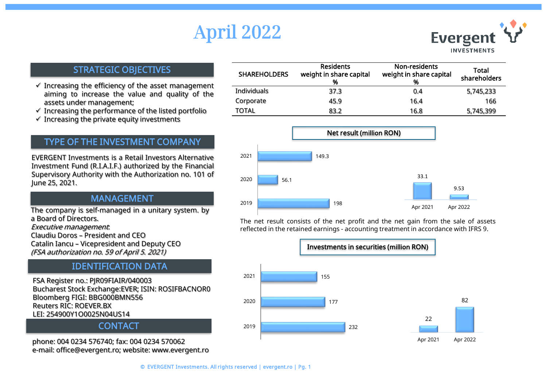# April 2022



#### STRATEGIC OBJECTIVES

- $\checkmark$  Increasing the efficiency of the asset management aiming to increase the value and quality of the assets under management;
- $\checkmark$  Increasing the performance of the listed portfolio
- $\checkmark$  Increasing the private equity investments

### TYPE OF THE INVESTMENT COMPANY

EVERGENT Investments is a Retail Investors Alternative Investment Fund (R.I.A.I.F.) authorized by the Financial Supervisory Authority with the Authorization no. 101 of June 25, 2021.

#### MANAGEMENT

The company is self-managed in a unitary system. by a Board of Directors.

Executive management:

Claudiu Doros – President and CEO Catalin Iancu – Vicepresident and Deputy CEO (FSA authorization no. 59 of April 5. 2021)

## IDENTIFICATION DATA

FSA Register no.: PJR09FIAIR/040003 Bucharest Stock Exchange:EVER; ISIN: ROSIFBACNOR0 Bloomberg FIGI: BBG000BMN556 Reuters RIC: ROEVER.BX LEI: 254900Y1O0025N04US14

#### **CONTACT**

phone: 004 0234 576740; fax: 004 0234 570062 e-mail: office@evergent.ro; website: www.evergent.ro

| <b>SHAREHOLDERS</b> | <b>Residents</b><br>weight in share capital<br>% | Non-residents<br>weight in share capital<br>% | Total<br>shareholders |
|---------------------|--------------------------------------------------|-----------------------------------------------|-----------------------|
| Individuals         | 37.3                                             | 0.4                                           | 5,745,233             |
| Corporate           | 45.9                                             | 16.4                                          | 166                   |
| TOTAL               | 83.2                                             | 16.8                                          | 5,745,399             |



The net result consists of the net profit and the net gain from the sale of assets reflected in the retained earnings - accounting treatment in accordance with IFRS 9.

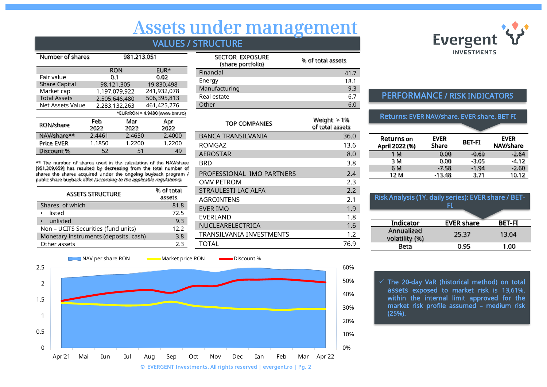## Assets under management

### VALUES / STRUCTURE

| Number of shares     |        | 981.213.051   |                                  |  |
|----------------------|--------|---------------|----------------------------------|--|
|                      |        | <b>RON</b>    | EUR*                             |  |
| Fair value           |        | 0.1           | 0.02                             |  |
| <b>Share Capital</b> |        | 98,121,305    | 19,830,498                       |  |
| Market cap           |        | 1,197,079,922 | 241,932,078                      |  |
| <b>Total Assets</b>  |        | 2,505,646,480 | 506,395,813                      |  |
| Net Assets Value     |        | 2,283,132,263 | 461,425,276                      |  |
|                      |        |               | *EUR/RON = $4.9480$ (www.bnr.ro) |  |
| RON/share            | Feb    | Mar           | Apr                              |  |
|                      | 2022   | 2022          | 2022                             |  |
| NAV/share**          | 2.4461 | 2.4650        | 2.4000                           |  |
| <b>Price EVER</b>    | 1.1850 | 1.2200        | 1.2200                           |  |
| Discount %           | 52     | 51            | 49                               |  |

\*\* The number of shares used in the calculation of the NAV/share [951,309,659] has resulted by decreasing from the total number of shares the shares acquired under the ongoing buyback program / public share buyback offer (according to the applicable regulations).

| <b>ASSETS STRUCTURE</b>               | % of total<br>assets |
|---------------------------------------|----------------------|
| Shares, of which                      | 81.8                 |
| listed                                | 72.5                 |
| • unlisted                            | 9.3                  |
| Non - UCITS Securities (fund units)   | 12.2                 |
| Monetary instruments (deposits. cash) | 3.8                  |
| Other assets                          | 2.3                  |

| <b>SECTOR EXPOSURE</b><br>(share portfolio) | % of total assets |
|---------------------------------------------|-------------------|
| Financial                                   | 41.7              |
| Energy                                      | 18.1              |
| Manufacturing                               | 9.3               |
| Real estate                                 | 6.7               |
| Other                                       |                   |

| <b>TOP COMPANIES</b>      | Weight $> 1\%$<br>of total assets |
|---------------------------|-----------------------------------|
| BANCA TRANSILVANIA        | 36.0                              |
| ROMGAZ                    | 13.6                              |
| <b>AEROSTAR</b>           | 8.0                               |
| BRD                       | 3.8                               |
| PROFESSIONAL IMO PARTNERS | 2.4                               |
| <b>OMV PETROM</b>         | 2.3                               |
| STRAULESTI LAC ALFA       | 2.2                               |
| <b>AGROINTENS</b>         | 2.1                               |
| EVER IMO                  | 1.9                               |
| EVERLAND                  | 1.8                               |
| NUCLEARELECTRICA          | 1.6                               |
| TRANSILVANIA INVESTMENTS  | 1.2                               |
| <b>TOTAL</b>              | 76.9                              |



#### PERFORMANCE / RISK INDICATORS

#### Returns: EVER NAV/share. EVER share. BET FI

| <b>Returns</b> on<br>April 2022 (%) | <b>EVER</b><br>Share | <b>BET-FI</b> | <b>EVER</b><br>NAV/share |
|-------------------------------------|----------------------|---------------|--------------------------|
| 1 M                                 | 0.00                 | $-0.69$       | $-2.64$                  |
| 3 M                                 | 0.00                 | $-3.05$       | $-4.12$                  |
| 6 M                                 | $-7.58$              | $-1.94$       | $-2.60$                  |
| 12 M                                | $-13.48$             | 3.71          | 10.12                    |

| Risk Analysis (1Y. daily series): EVER share / BET-<br>Fī |                   |               |
|-----------------------------------------------------------|-------------------|---------------|
| Indicator                                                 | <b>EVER share</b> | <b>BET-FI</b> |
| Annualized<br>volatility (%)                              | 25.37             | 13.04         |
| Beta                                                      | 0.95              | 1.00          |

© EVERGENT Investments. All rights reserved | evergent.ro | Pg. 2 0% 10% 20% 30% 40% 50% 60%  $\Omega$ 0.5 1 1.5 2 2.5 Apr'21 Mai Iun Iul Aug Sep Oct Nov Dec Ian Feb Mar Apr'22 **NAV per share RON Market price RON CON** Discount %

 $\checkmark$  The 20-day VaR (historical method) on total assets exposed to market risk is 13,61%, within the internal limit approved for the market risk profile assumed – medium risk (25%).